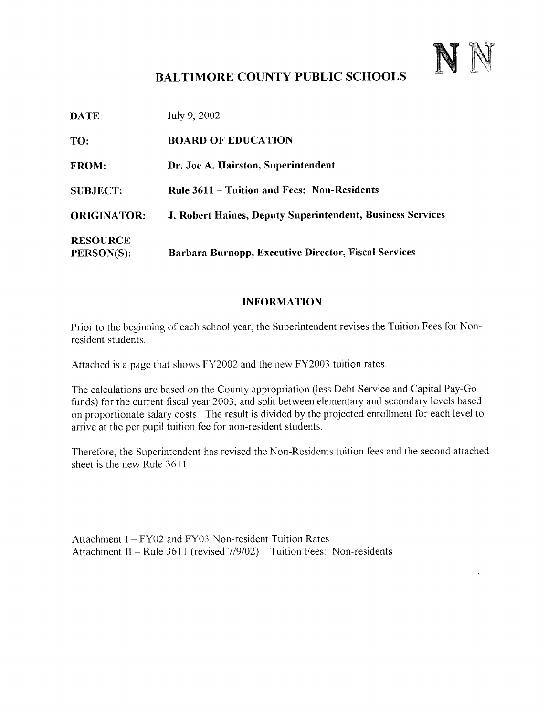

# BALTIMORE COUNTY PUBLIC SCHOOLS

| <b>DATE:</b>                  | July 9, 2002                                                |
|-------------------------------|-------------------------------------------------------------|
| TO:                           | <b>BOARD OF EDUCATION</b>                                   |
| <b>FROM:</b>                  | Dr. Joe A. Hairston, Superintendent                         |
| <b>SUBJECT:</b>               | <b>Rule 3611 – Tuition and Fees: Non-Residents</b>          |
| <b>ORIGINATOR:</b>            | J. Robert Haines, Deputy Superintendent, Business Services  |
| <b>RESOURCE</b><br>PERSON(S): | <b>Barbara Burnopp, Executive Director, Fiscal Services</b> |

#### INFORMATION

Prior to the beginning of each school year, the Superintendent revises the Tuition Fees for Nonresident students .

Attached is <sup>a</sup> page that shows FY2002 and the new FY2003 tuition rates.

The calculations are based on the County appropriation (less Debt Service and Capital Pay-Go funds) for the current fiscal year 2003, and split between elementary and secondary levels based on proportionate salary costs. The result is divided by the projected enrollment for each level to arrive at the per pupil tuition fee for non-resident students .

Therefore, the Superintendent has revised the Non-Residents tuition fees and the second attached sheet is the new Rule 3611 .

Attachment 1- FY02 and FY03 Non-resident Tuition Rates Attachment II - Rule 3611 (revised 7/9/02) - Tuition Fees: Non-residents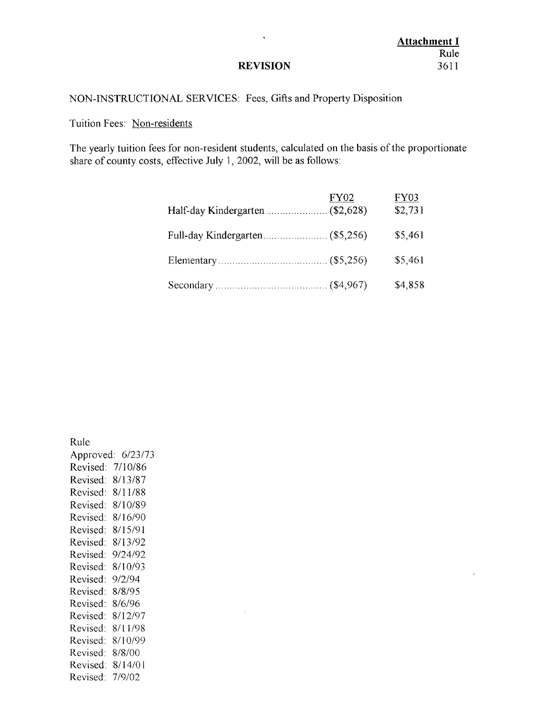# **Attachment I** Rule<br>3611

#### **REVISION**

 $\bar{\mathbf{r}}$ 

#### NON-INSTRUCTIONAL SERVICES: Fees, Gifts and Property Disposition

#### Tuition Fees: Non-residents

The yearly tuition fees for non-resident students, calculated on the basis of the proportionate share of county costs, effective July l, 2002, will be as follows:

|                                 | FY02 | FY03<br>\$2,731 |
|---------------------------------|------|-----------------|
| Full-day Kindergarten (\$5,256) |      | \$5,461         |
|                                 |      | \$5,461         |
|                                 |      | \$4,858         |

Rule Approved: 6/23/73 Revised: 7/10/86 Revised: 8/13/87 Revised: 8/11/88 Revised: 8/10/89 Revised: 8/16/90 Revised: 8/15/91 Revised: 8/13/92 Revised: 9/24/92 Revised: 8/10/93 Revised: 9/2/94 Revised: 8/8/95 Revised: 8/6/96 Revised: 8/12/97 Revised: 8/11/98 Revised: 8/10/99 Revised: 8/8/00 Revised: 8/14/01 Revised: 7/9/02